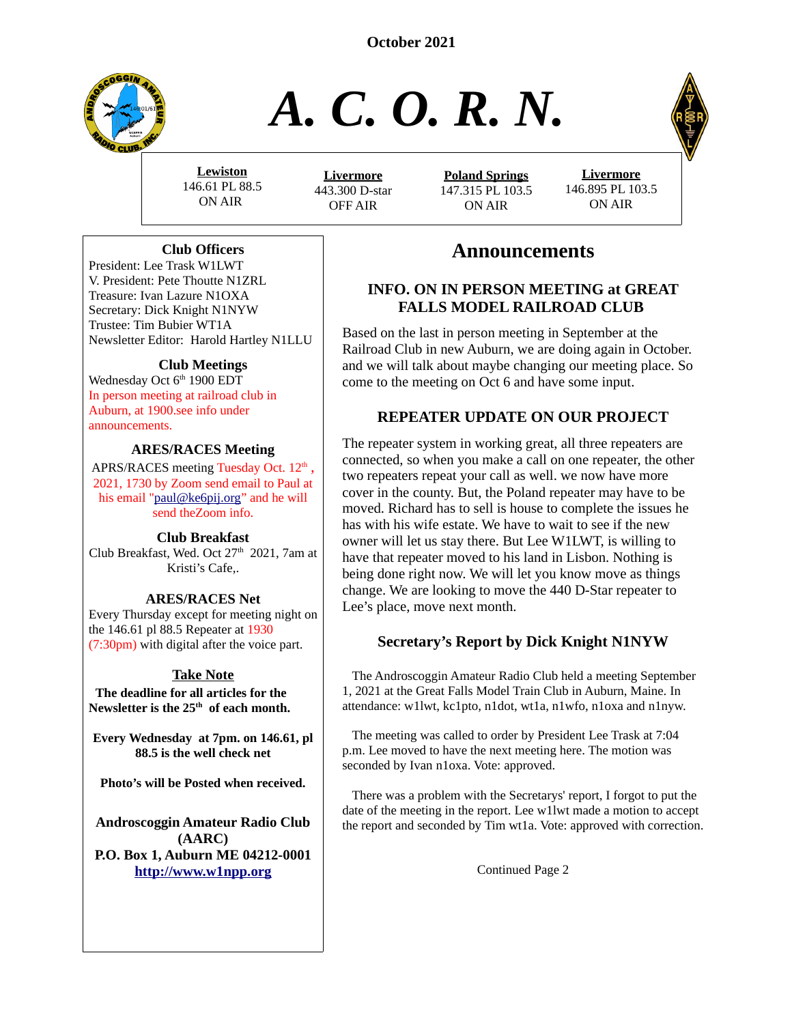**October 2021**



# *A. C. O. R. N.*

**Lewiston** ON AIR

 **L ivermore** 443.300 D-star OFF AIR

**Poland Springs** ON AIR



# **Announcements**

#### **INFO. ON IN PERSON MEETING at GREAT FALLS MODEL RAILROAD CLUB**

Based on the last in person meeting in September at the Railroad Club in new Auburn, we are doing again in October. and we will talk about maybe changing our meeting place. So come to the meeting on Oct 6 and have some input.

#### **REPEATER UPDATE ON OUR PROJECT**

The repeater system in working great, all three repeaters are connected, so when you make a call on one repeater, the other two repeaters repeat your call as well. we now have more cover in the county. But, the Poland repeater may have to be moved. Richard has to sell is house to complete the issues he has with his wife estate. We have to wait to see if the new owner will let us stay there. But Lee W1LWT, is willing to have that repeater moved to his land in Lisbon. Nothing is being done right now. We will let you know move as things change. We are looking to move the 440 D-Star repeater to Lee's place, move next month.

## **Secretary's Report by Dick Knight N1NYW**

 The Androscoggin Amateur Radio Club held a meeting September 1, 2021 at the Great Falls Model Train Club in Auburn, Maine. In attendance: w1lwt, kc1pto, n1dot, wt1a, n1wfo, n1oxa and n1nyw.

 The meeting was called to order by President Lee Trask at 7:04 p.m. Lee moved to have the next meeting here. The motion was seconded by Ivan n1oxa. Vote: approved.

 There was a problem with the Secretarys' report, I forgot to put the date of the meeting in the report. Lee w1lwt made a motion to accept the report and seconded by Tim wt1a. Vote: approved with correction.

Continued Page 2

146.61 PL 88.5

147.315 PL 103.5





#### **Club Officers**

President: Lee Trask W1LWT V. President: Pete Thoutte N1ZRL Treasure: Ivan Lazure N1OXA Secretary: Dick Knight N1NYW Trustee: Tim Bubier WT1A Newsletter Editor: Harold Hartley N1LLU

#### **Club Meetings**

Wednesday Oct 6<sup>th</sup> 1900 EDT In person meeting at railroad club in Auburn, at 1900.see info under announcements.

#### **ARES/RACES Meeting**

APRS/RACES meeting Tuesday Oct.  $12<sup>th</sup>$ , 2021, 1730 by Zoom send email to Paul at his email ["paul@ke6pij.org](mailto:paul@ke6pij.org)" and he will send theZoom info.

#### **Club Breakfast**

Club Breakfast, Wed. Oct  $27<sup>th</sup>$  2021, 7am at Kristi's Cafe,.

#### **ARES/RACES Net**

Every Thursday except for meeting night on the 146.61 pl 88.5 Repeater at 1930 (7:30pm) with digital after the voice part.

## **Take Note**

 **The deadline for all articles for the Newsletter is the 25th of each month.**

**Every Wednesday at 7pm. on 146.61, pl 88.5 is the well check net**

**Photo's will be Posted when received.**

**Androscoggin Amateur Radio Club (AARC) P.O. Box 1, Auburn ME 04212-0001 [http://www.w1npp.org](http://www.w1npp.org/)**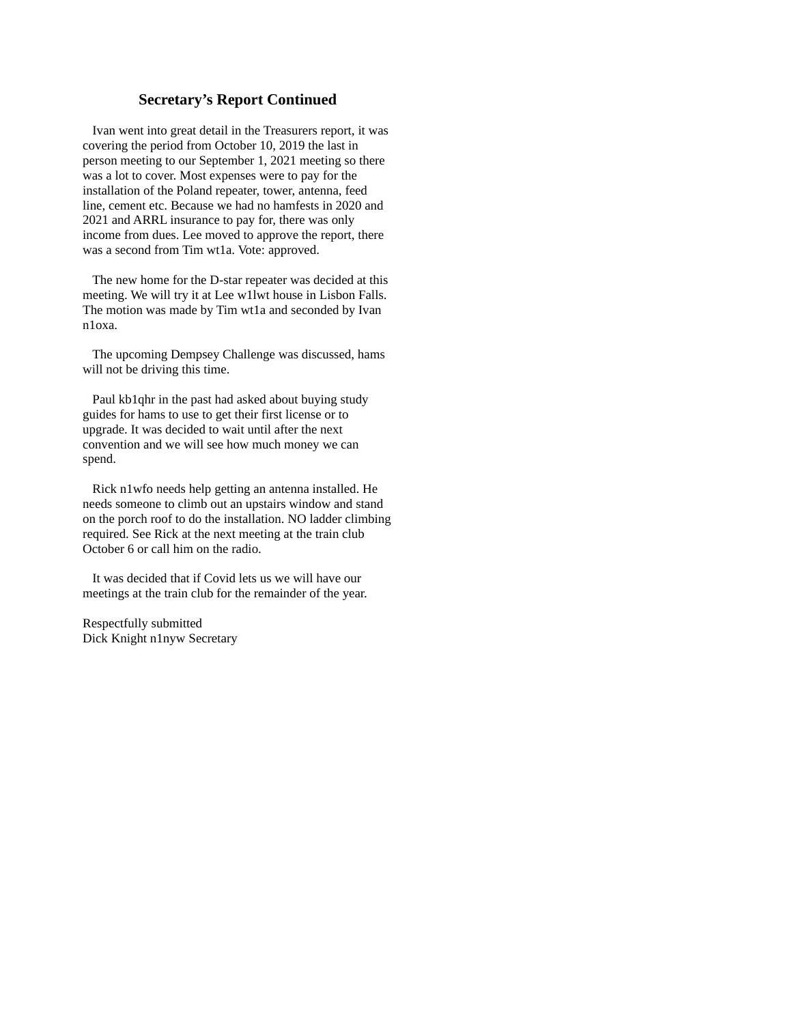#### **Secretary's Report Continued**

 Ivan went into great detail in the Treasurers report, it was covering the period from October 10, 2019 the last in person meeting to our September 1, 2021 meeting so there was a lot to cover. Most expenses were to pay for the installation of the Poland repeater, tower, antenna, feed line, cement etc. Because we had no hamfests in 2020 and 2021 and ARRL insurance to pay for, there was only income from dues. Lee moved to approve the report, there was a second from Tim wt1a. Vote: approved.

 The new home for the D-star repeater was decided at this meeting. We will try it at Lee w1lwt house in Lisbon Falls. The motion was made by Tim wt1a and seconded by Ivan n1oxa.

 The upcoming Dempsey Challenge was discussed, hams will not be driving this time.

 Paul kb1qhr in the past had asked about buying study guides for hams to use to get their first license or to upgrade. It was decided to wait until after the next convention and we will see how much money we can spend.

 Rick n1wfo needs help getting an antenna installed. He needs someone to climb out an upstairs window and stand on the porch roof to do the installation. NO ladder climbing required. See Rick at the next meeting at the train club October 6 or call him on the radio.

 It was decided that if Covid lets us we will have our meetings at the train club for the remainder of the year.

Respectfully submitted Dick Knight n1nyw Secretary